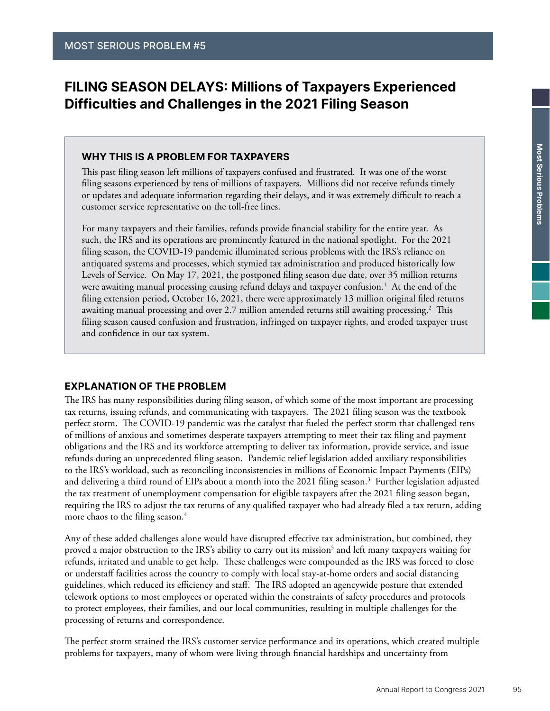# FILING SEASON DELAYS: Millions of Taxpayers Experienced Difficulties and Challenges in the 2021 Filing Season

## WHY THIS IS A PROBLEM FOR TAXPAYERS

This past filing season left millions of taxpayers confused and frustrated. It was one of the worst filing seasons experienced by tens of millions of taxpayers. Millions did not receive refunds timely or updates and adequate information regarding their delays, and it was extremely difficult to reach a customer service representative on the toll-free lines.

For many taxpayers and their families, refunds provide financial stability for the entire year. As such, the IRS and its operations are prominently featured in the national spotlight. For the 2021 filing season, the COVID-19 pandemic illuminated serious problems with the IRS's reliance on antiquated systems and processes, which stymied tax administration and produced historically low Levels of Service. On May 17, 2021, the postponed filing season due date, over 35 million returns were awaiting manual processing causing refund delays and taxpayer confusion.1 At the end of the filing extension period, October 16, 2021, there were approximately 13 million original filed returns awaiting manual processing and over 2.7 million amended returns still awaiting processing.<sup>2</sup> This filing season caused confusion and frustration, infringed on taxpayer rights, and eroded taxpayer trust and confidence in our tax system.

# EXPLANATION OF THE PROBLEM

The IRS has many responsibilities during filing season, of which some of the most important are processing tax returns, issuing refunds, and communicating with taxpayers. The 2021 filing season was the textbook perfect storm. The COVID-19 pandemic was the catalyst that fueled the perfect storm that challenged tens of millions of anxious and sometimes desperate taxpayers attempting to meet their tax filing and payment obligations and the IRS and its workforce attempting to deliver tax information, provide service, and issue refunds during an unprecedented filing season. Pandemic relief legislation added auxiliary responsibilities to the IRS's workload, such as reconciling inconsistencies in millions of Economic Impact Payments (EIPs) and delivering a third round of EIPs about a month into the 2021 filing season.<sup>3</sup> Further legislation adjusted the tax treatment of unemployment compensation for eligible taxpayers after the 2021 filing season began, requiring the IRS to adjust the tax returns of any qualified taxpayer who had already filed a tax return, adding more chaos to the filing season.<sup>4</sup>

Any of these added challenges alone would have disrupted effective tax administration, but combined, they proved a major obstruction to the IRS's ability to carry out its mission<sup>5</sup> and left many taxpayers waiting for refunds, irritated and unable to get help. These challenges were compounded as the IRS was forced to close or understaff facilities across the country to comply with local stay-at-home orders and social distancing guidelines, which reduced its efficiency and staff. The IRS adopted an agencywide posture that extended telework options to most employees or operated within the constraints of safety procedures and protocols to protect employees, their families, and our local communities, resulting in multiple challenges for the processing of returns and correspondence.

The perfect storm strained the IRS's customer service performance and its operations, which created multiple problems for taxpayers, many of whom were living through financial hardships and uncertainty from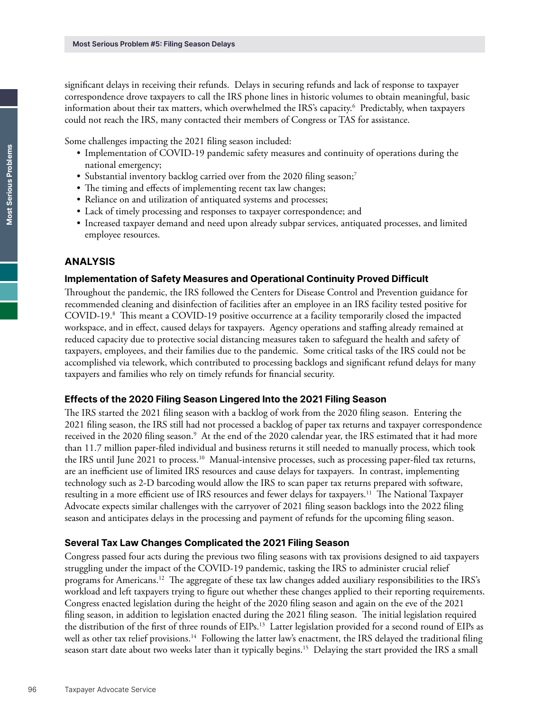significant delays in receiving their refunds. Delays in securing refunds and lack of response to taxpayer correspondence drove taxpayers to call the IRS phone lines in historic volumes to obtain meaningful, basic information about their tax matters, which overwhelmed the IRS's capacity.6 Predictably, when taxpayers could not reach the IRS, many contacted their members of Congress or TAS for assistance.

Some challenges impacting the 2021 filing season included:

- Implementation of COVID-19 pandemic safety measures and continuity of operations during the national emergency;
- Substantial inventory backlog carried over from the 2020 filing season;<sup>7</sup>
- The timing and effects of implementing recent tax law changes;
- Reliance on and utilization of antiquated systems and processes;
- Lack of timely processing and responses to taxpayer correspondence; and
- Increased taxpayer demand and need upon already subpar services, antiquated processes, and limited employee resources.

## ANALYSIS

#### Implementation of Safety Measures and Operational Continuity Proved Difficult

Throughout the pandemic, the IRS followed the Centers for Disease Control and Prevention guidance for recommended cleaning and disinfection of facilities after an employee in an IRS facility tested positive for COVID-19.8 This meant a COVID-19 positive occurrence at a facility temporarily closed the impacted workspace, and in effect, caused delays for taxpayers. Agency operations and staffing already remained at reduced capacity due to protective social distancing measures taken to safeguard the health and safety of taxpayers, employees, and their families due to the pandemic. Some critical tasks of the IRS could not be accomplished via telework, which contributed to processing backlogs and significant refund delays for many taxpayers and families who rely on timely refunds for financial security.

### Effects of the 2020 Filing Season Lingered Into the 2021 Filing Season

The IRS started the 2021 filing season with a backlog of work from the 2020 filing season. Entering the 2021 filing season, the IRS still had not processed a backlog of paper tax returns and taxpayer correspondence received in the 2020 filing season.<sup>9</sup> At the end of the 2020 calendar year, the IRS estimated that it had more than 11.7 million paper-filed individual and business returns it still needed to manually process, which took the IRS until June 2021 to process.<sup>10</sup> Manual-intensive processes, such as processing paper-filed tax returns, are an inefficient use of limited IRS resources and cause delays for taxpayers. In contrast, implementing technology such as 2-D barcoding would allow the IRS to scan paper tax returns prepared with software, resulting in a more efficient use of IRS resources and fewer delays for taxpayers.11 The National Taxpayer Advocate expects similar challenges with the carryover of 2021 filing season backlogs into the 2022 filing season and anticipates delays in the processing and payment of refunds for the upcoming filing season.

### Several Tax Law Changes Complicated the 2021 Filing Season

Congress passed four acts during the previous two filing seasons with tax provisions designed to aid taxpayers struggling under the impact of the COVID-19 pandemic, tasking the IRS to administer crucial relief programs for Americans.12 The aggregate of these tax law changes added auxiliary responsibilities to the IRS's workload and left taxpayers trying to figure out whether these changes applied to their reporting requirements. Congress enacted legislation during the height of the 2020 filing season and again on the eve of the 2021 filing season, in addition to legislation enacted during the 2021 filing season. The initial legislation required the distribution of the first of three rounds of EIPs.<sup>13</sup> Latter legislation provided for a second round of EIPs as well as other tax relief provisions.<sup>14</sup> Following the latter law's enactment, the IRS delayed the traditional filing season start date about two weeks later than it typically begins.<sup>15</sup> Delaying the start provided the IRS a small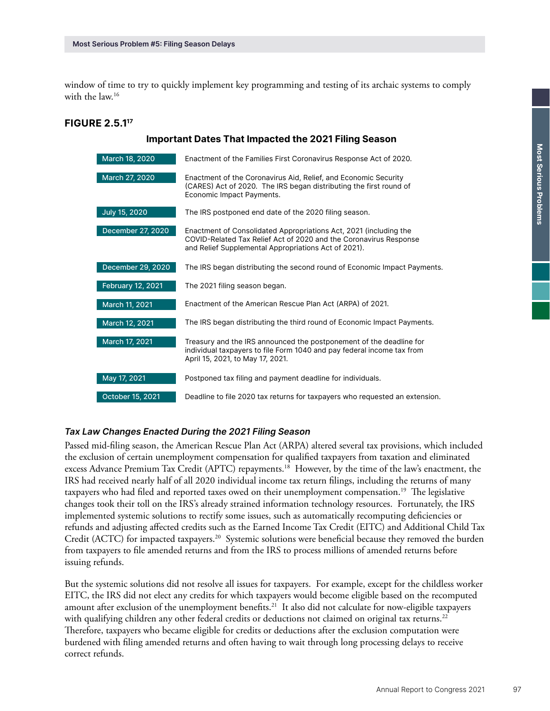window of time to try to quickly implement key programming and testing of its archaic systems to comply with the law.16

**Important Dates That Impacted the 2021 Filing Season**

#### **FIGURE 2.5.117**

| March 18, 2020           | Enactment of the Families First Coronavirus Response Act of 2020.                                                                                                                              |
|--------------------------|------------------------------------------------------------------------------------------------------------------------------------------------------------------------------------------------|
| March 27, 2020           | Enactment of the Coronavirus Aid, Relief, and Economic Security<br>(CARES) Act of 2020. The IRS began distributing the first round of<br>Economic Impact Payments.                             |
| July 15, 2020            | The IRS postponed end date of the 2020 filing season.                                                                                                                                          |
| December 27, 2020        | Enactment of Consolidated Appropriations Act, 2021 (including the<br>COVID-Related Tax Relief Act of 2020 and the Coronavirus Response<br>and Relief Supplemental Appropriations Act of 2021). |
| December 29, 2020        | The IRS began distributing the second round of Economic Impact Payments.                                                                                                                       |
| <b>February 12, 2021</b> | The 2021 filing season began.                                                                                                                                                                  |
| March 11, 2021           | Enactment of the American Rescue Plan Act (ARPA) of 2021.                                                                                                                                      |
| March 12, 2021           | The IRS began distributing the third round of Economic Impact Payments.                                                                                                                        |
| March 17, 2021           | Treasury and the IRS announced the postponement of the deadline for<br>individual taxpayers to file Form 1040 and pay federal income tax from<br>April 15, 2021, to May 17, 2021.              |
| May 17, 2021             | Postponed tax filing and payment deadline for individuals.                                                                                                                                     |
| October 15, 2021         | Deadline to file 2020 tax returns for taxpayers who requested an extension.                                                                                                                    |

#### Tax Law Changes Enacted During the 2021 Filing Season

Passed mid-filing season, the American Rescue Plan Act (ARPA) altered several tax provisions, which included the exclusion of certain unemployment compensation for qualified taxpayers from taxation and eliminated excess Advance Premium Tax Credit (APTC) repayments.<sup>18</sup> However, by the time of the law's enactment, the IRS had received nearly half of all 2020 individual income tax return filings, including the returns of many taxpayers who had filed and reported taxes owed on their unemployment compensation.19 The legislative changes took their toll on the IRS's already strained information technology resources. Fortunately, the IRS implemented systemic solutions to rectify some issues, such as automatically recomputing deficiencies or refunds and adjusting affected credits such as the Earned Income Tax Credit (EITC) and Additional Child Tax Credit (ACTC) for impacted taxpayers.<sup>20</sup> Systemic solutions were beneficial because they removed the burden from taxpayers to file amended returns and from the IRS to process millions of amended returns before issuing refunds.

But the systemic solutions did not resolve all issues for taxpayers. For example, except for the childless worker EITC, the IRS did not elect any credits for which taxpayers would become eligible based on the recomputed amount after exclusion of the unemployment benefits.<sup>21</sup> It also did not calculate for now-eligible taxpayers with qualifying children any other federal credits or deductions not claimed on original tax returns.<sup>22</sup> Therefore, taxpayers who became eligible for credits or deductions after the exclusion computation were burdened with filing amended returns and often having to wait through long processing delays to receive correct refunds.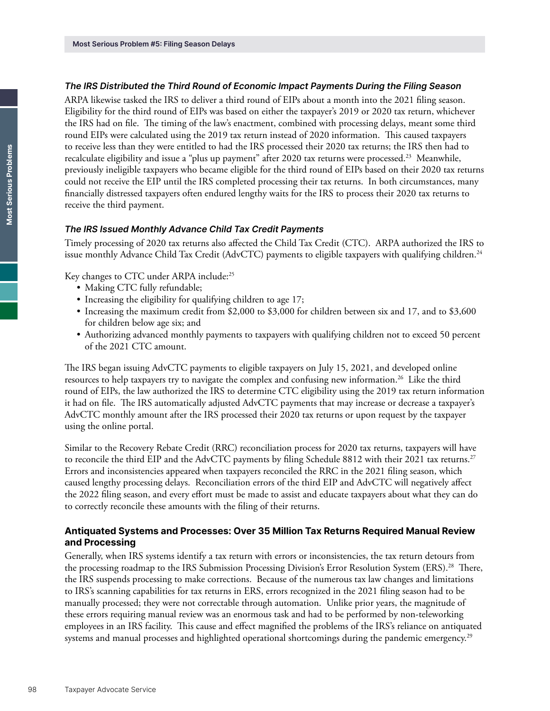#### The IRS Distributed the Third Round of Economic Impact Payments During the Filing Season

ARPA likewise tasked the IRS to deliver a third round of EIPs about a month into the 2021 filing season. Eligibility for the third round of EIPs was based on either the taxpayer's 2019 or 2020 tax return, whichever the IRS had on file. The timing of the law's enactment, combined with processing delays, meant some third round EIPs were calculated using the 2019 tax return instead of 2020 information. This caused taxpayers to receive less than they were entitled to had the IRS processed their 2020 tax returns; the IRS then had to recalculate eligibility and issue a "plus up payment" after 2020 tax returns were processed.<sup>23</sup> Meanwhile, previously ineligible taxpayers who became eligible for the third round of EIPs based on their 2020 tax returns could not receive the EIP until the IRS completed processing their tax returns. In both circumstances, many financially distressed taxpayers often endured lengthy waits for the IRS to process their 2020 tax returns to receive the third payment.

#### The IRS Issued Monthly Advance Child Tax Credit Payments

Timely processing of 2020 tax returns also affected the Child Tax Credit (CTC). ARPA authorized the IRS to issue monthly Advance Child Tax Credit (AdvCTC) payments to eligible taxpayers with qualifying children.<sup>24</sup>

Key changes to CTC under ARPA include:25

- Making CTC fully refundable;
- Increasing the eligibility for qualifying children to age 17;
- Increasing the maximum credit from \$2,000 to \$3,000 for children between six and 17, and to \$3,600 for children below age six; and
- Authorizing advanced monthly payments to taxpayers with qualifying children not to exceed 50 percent of the 2021 CTC amount.

The IRS began issuing AdvCTC payments to eligible taxpayers on July 15, 2021, and developed online resources to help taxpayers try to navigate the complex and confusing new information.26 Like the third round of EIPs, the law authorized the IRS to determine CTC eligibility using the 2019 tax return information it had on file. The IRS automatically adjusted AdvCTC payments that may increase or decrease a taxpayer's AdvCTC monthly amount after the IRS processed their 2020 tax returns or upon request by the taxpayer using the online portal.

Similar to the Recovery Rebate Credit (RRC) reconciliation process for 2020 tax returns, taxpayers will have to reconcile the third EIP and the AdvCTC payments by filing Schedule 8812 with their 2021 tax returns.<sup>27</sup> Errors and inconsistencies appeared when taxpayers reconciled the RRC in the 2021 filing season, which caused lengthy processing delays. Reconciliation errors of the third EIP and AdvCTC will negatively affect the 2022 filing season, and every effort must be made to assist and educate taxpayers about what they can do to correctly reconcile these amounts with the filing of their returns.

## Antiquated Systems and Processes: Over 35 Million Tax Returns Required Manual Review and Processing

Generally, when IRS systems identify a tax return with errors or inconsistencies, the tax return detours from the processing roadmap to the IRS Submission Processing Division's Error Resolution System (ERS).<sup>28</sup> There, the IRS suspends processing to make corrections. Because of the numerous tax law changes and limitations to IRS's scanning capabilities for tax returns in ERS, errors recognized in the 2021 filing season had to be manually processed; they were not correctable through automation. Unlike prior years, the magnitude of these errors requiring manual review was an enormous task and had to be performed by non-teleworking employees in an IRS facility. This cause and effect magnified the problems of the IRS's reliance on antiquated systems and manual processes and highlighted operational shortcomings during the pandemic emergency.<sup>29</sup>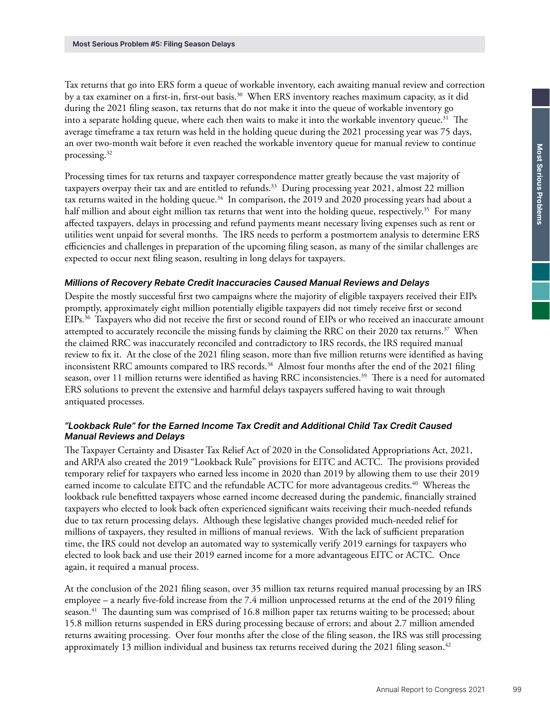Tax returns that go into ERS form a queue of workable inventory, each awaiting manual review and correction by a tax examiner on a first-in, first-out basis.<sup>30</sup> When ERS inventory reaches maximum capacity, as it did during the 2021 filing season, tax returns that do not make it into the queue of workable inventory go into a separate holding queue, where each then waits to make it into the workable inventory queue.<sup>31</sup> The average timeframe a tax return was held in the holding queue during the 2021 processing year was 75 days, an over two-month wait before it even reached the workable inventory queue for manual review to continue processing.<sup>32</sup>

Processing times for tax returns and taxpayer correspondence matter greatly because the vast majority of taxpayers overpay their tax and are entitled to refunds.<sup>33</sup> During processing year 2021, almost 22 million tax returns waited in the holding queue.<sup>34</sup> In comparison, the 2019 and 2020 processing years had about a half million and about eight million tax returns that went into the holding queue, respectively.<sup>35</sup> For many affected taxpayers, delays in processing and refund payments meant necessary living expenses such as rent or utilities went unpaid for several months. The IRS needs to perform a postmortem analysis to determine ERS efficiencies and challenges in preparation of the upcoming filing season, as many of the similar challenges are expected to occur next filing season, resulting in long delays for taxpayers.

#### Millions of Recovery Rebate Credit Inaccuracies Caused Manual Reviews and Delays

Despite the mostly successful first two campaigns where the majority of eligible taxpayers received their EIPs promptly, approximately eight million potentially eligible taxpayers did not timely receive first or second EIPs.36 Taxpayers who did not receive the first or second round of EIPs or who received an inaccurate amount attempted to accurately reconcile the missing funds by claiming the RRC on their 2020 tax returns.<sup>37</sup> When the claimed RRC was inaccurately reconciled and contradictory to IRS records, the IRS required manual review to fix it. At the close of the 2021 filing season, more than five million returns were identified as having inconsistent RRC amounts compared to IRS records.<sup>38</sup> Almost four months after the end of the 2021 filing season, over 11 million returns were identified as having RRC inconsistencies.39 There is a need for automated ERS solutions to prevent the extensive and harmful delays taxpayers suffered having to wait through antiquated processes.

#### "Lookback Rule" for the Earned Income Tax Credit and Additional Child Tax Credit Caused Manual Reviews and Delays

The Taxpayer Certainty and Disaster Tax Relief Act of 2020 in the Consolidated Appropriations Act, 2021, and ARPA also created the 2019 "Lookback Rule" provisions for EITC and ACTC. The provisions provided temporary relief for taxpayers who earned less income in 2020 than 2019 by allowing them to use their 2019 earned income to calculate EITC and the refundable ACTC for more advantageous credits.40 Whereas the lookback rule benefitted taxpayers whose earned income decreased during the pandemic, financially strained taxpayers who elected to look back often experienced significant waits receiving their much-needed refunds due to tax return processing delays. Although these legislative changes provided much-needed relief for millions of taxpayers, they resulted in millions of manual reviews. With the lack of sufficient preparation time, the IRS could not develop an automated way to systemically verify 2019 earnings for taxpayers who elected to look back and use their 2019 earned income for a more advantageous EITC or ACTC. Once again, it required a manual process.

At the conclusion of the 2021 filing season, over 35 million tax returns required manual processing by an IRS employee – a nearly five-fold increase from the 7.4 million unprocessed returns at the end of the 2019 filing season*.* 41 The daunting sum was comprised of 16.8 million paper tax returns waiting to be processed; about 15.8 million returns suspended in ERS during processing because of errors; and about 2.7 million amended returns awaiting processing. Over four months after the close of the filing season, the IRS was still processing approximately 13 million individual and business tax returns received during the 2021 filing season.<sup>42</sup>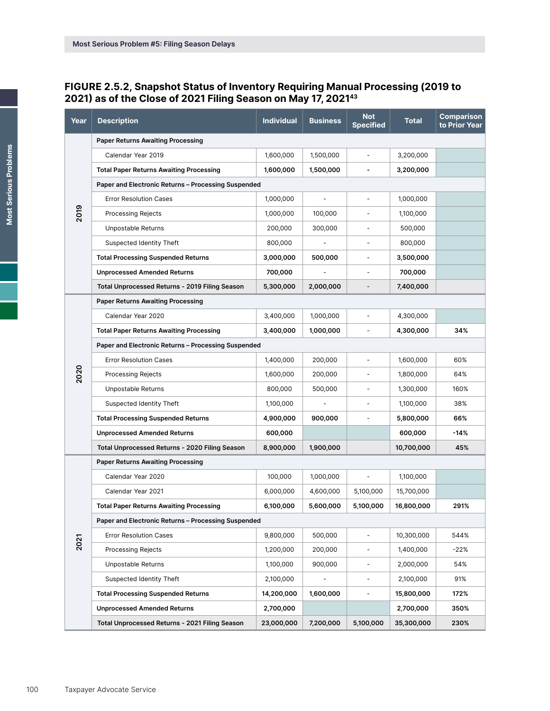# FIGURE 2.5.2, Snapshot Status of Inventory Requiring Manual Processing (2019 to 2021) as of the Close of 2021 Filing Season on May 17, 2021<sup>43</sup>

| Year | <b>Description</b>                                  | <b>Individual</b> | <b>Business</b> | <b>Not</b><br><b>Specified</b> | <b>Total</b> | <b>Comparison</b><br>to Prior Year |  |  |
|------|-----------------------------------------------------|-------------------|-----------------|--------------------------------|--------------|------------------------------------|--|--|
| 2019 | <b>Paper Returns Awaiting Processing</b>            |                   |                 |                                |              |                                    |  |  |
|      | Calendar Year 2019                                  | 1,600,000         | 1,500,000       | $\frac{1}{2}$                  | 3,200,000    |                                    |  |  |
|      | <b>Total Paper Returns Awaiting Processing</b>      | 1,600,000         | 1,500,000       |                                | 3,200,000    |                                    |  |  |
|      | Paper and Electronic Returns - Processing Suspended |                   |                 |                                |              |                                    |  |  |
|      | <b>Error Resolution Cases</b>                       | 1,000,000         |                 |                                | 1,000,000    |                                    |  |  |
|      | <b>Processing Rejects</b>                           | 1,000,000         | 100,000         | $\qquad \qquad \blacksquare$   | 1,100,000    |                                    |  |  |
|      | Unpostable Returns                                  | 200,000           | 300,000         | $\qquad \qquad \blacksquare$   | 500,000      |                                    |  |  |
|      | <b>Suspected Identity Theft</b>                     | 800,000           |                 |                                | 800,000      |                                    |  |  |
|      | <b>Total Processing Suspended Returns</b>           | 3,000,000         | 500,000         |                                | 3,500,000    |                                    |  |  |
|      | <b>Unprocessed Amended Returns</b>                  | 700,000           |                 | $\overline{a}$                 | 700,000      |                                    |  |  |
|      | Total Unprocessed Returns - 2019 Filing Season      | 5,300,000         | 2,000,000       | $\overline{\phantom{a}}$       | 7,400,000    |                                    |  |  |
| 2020 | <b>Paper Returns Awaiting Processing</b>            |                   |                 |                                |              |                                    |  |  |
|      | Calendar Year 2020                                  | 3,400,000         | 1,000,000       | $\overline{a}$                 | 4,300,000    |                                    |  |  |
|      | <b>Total Paper Returns Awaiting Processing</b>      | 3,400,000         | 1,000,000       |                                | 4,300,000    | 34%                                |  |  |
|      | Paper and Electronic Returns - Processing Suspended |                   |                 |                                |              |                                    |  |  |
|      | <b>Error Resolution Cases</b>                       | 1,400,000         | 200,000         | $\overline{a}$                 | 1,600,000    | 60%                                |  |  |
|      | Processing Rejects                                  | 1,600,000         | 200,000         | $\qquad \qquad \blacksquare$   | 1,800,000    | 64%                                |  |  |
|      | Unpostable Returns                                  | 800,000           | 500,000         | $\qquad \qquad \blacksquare$   | 1,300,000    | 160%                               |  |  |
|      | <b>Suspected Identity Theft</b>                     | 1,100,000         |                 |                                | 1,100,000    | 38%                                |  |  |
|      | <b>Total Processing Suspended Returns</b>           | 4,900,000         | 900,000         | $\frac{1}{2}$                  | 5,800,000    | 66%                                |  |  |
|      | <b>Unprocessed Amended Returns</b>                  | 600,000           |                 |                                | 600,000      | -14%                               |  |  |
|      | Total Unprocessed Returns - 2020 Filing Season      | 8,900,000         | 1,900,000       |                                | 10,700,000   | 45%                                |  |  |
| 2021 | <b>Paper Returns Awaiting Processing</b>            |                   |                 |                                |              |                                    |  |  |
|      | Calendar Year 2020                                  | 100,000           | 1,000,000       | $\qquad \qquad \blacksquare$   | 1,100,000    |                                    |  |  |
|      | Calendar Year 2021                                  | 6,000,000         | 4,600,000       | 5,100,000                      | 15,700,000   |                                    |  |  |
|      | <b>Total Paper Returns Awaiting Processing</b>      | 6,100,000         | 5,600,000       | 5,100,000                      | 16,800,000   | 291%                               |  |  |
|      | Paper and Electronic Returns - Processing Suspended |                   |                 |                                |              |                                    |  |  |
|      | <b>Error Resolution Cases</b>                       | 9,800,000         | 500,000         | $\overline{\phantom{a}}$       | 10,300,000   | 544%                               |  |  |
|      | <b>Processing Rejects</b>                           | 1,200,000         | 200,000         |                                | 1,400,000    | $-22%$                             |  |  |
|      | Unpostable Returns                                  | 1,100,000         | 900,000         | $\overline{\phantom{m}}$       | 2,000,000    | 54%                                |  |  |
|      | Suspected Identity Theft                            | 2,100,000         |                 | $\overline{\phantom{a}}$       | 2,100,000    | 91%                                |  |  |
|      | <b>Total Processing Suspended Returns</b>           | 14,200,000        | 1,600,000       | ÷                              | 15,800,000   | 172%                               |  |  |
|      | <b>Unprocessed Amended Returns</b>                  | 2,700,000         |                 |                                | 2,700,000    | 350%                               |  |  |
|      | Total Unprocessed Returns - 2021 Filing Season      | 23,000,000        | 7,200,000       | 5,100,000                      | 35,300,000   | 230%                               |  |  |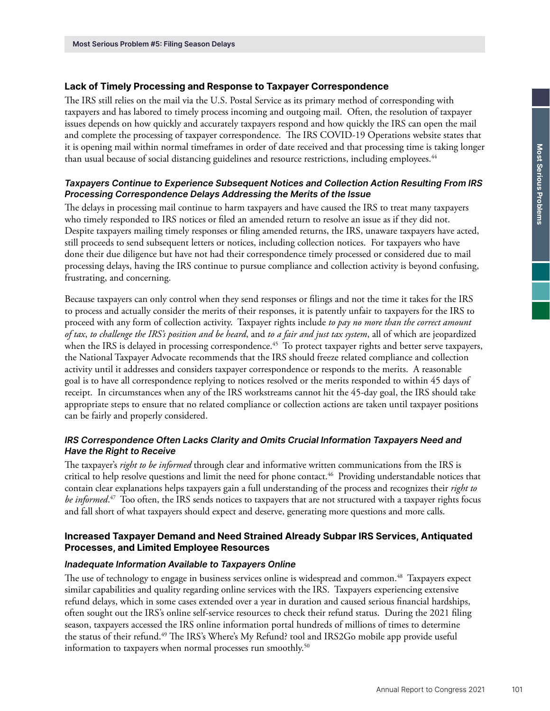## Lack of Timely Processing and Response to Taxpayer Correspondence

The IRS still relies on the mail via the U.S. Postal Service as its primary method of corresponding with taxpayers and has labored to timely process incoming and outgoing mail. Often, the resolution of taxpayer issues depends on how quickly and accurately taxpayers respond and how quickly the IRS can open the mail and complete the processing of taxpayer correspondence. The IRS COVID-19 Operations website states that it is opening mail within normal timeframes in order of date received and that processing time is taking longer than usual because of social distancing guidelines and resource restrictions, including employees.<sup>44</sup>

### Taxpayers Continue to Experience Subsequent Notices and Collection Action Resulting From IRS Processing Correspondence Delays Addressing the Merits of the Issue

The delays in processing mail continue to harm taxpayers and have caused the IRS to treat many taxpayers who timely responded to IRS notices or filed an amended return to resolve an issue as if they did not. Despite taxpayers mailing timely responses or filing amended returns, the IRS, unaware taxpayers have acted, still proceeds to send subsequent letters or notices, including collection notices. For taxpayers who have done their due diligence but have not had their correspondence timely processed or considered due to mail processing delays, having the IRS continue to pursue compliance and collection activity is beyond confusing, frustrating, and concerning.

Because taxpayers can only control when they send responses or filings and not the time it takes for the IRS to process and actually consider the merits of their responses, it is patently unfair to taxpayers for the IRS to proceed with any form of collection activity. Taxpayer rights include *to pay no more than the correct amount of tax*, *to challenge the IRS's position and be heard*, and *to a fair and just tax system*, all of which are jeopardized when the IRS is delayed in processing correspondence.<sup>45</sup> To protect taxpayer rights and better serve taxpayers, the National Taxpayer Advocate recommends that the IRS should freeze related compliance and collection activity until it addresses and considers taxpayer correspondence or responds to the merits. A reasonable goal is to have all correspondence replying to notices resolved or the merits responded to within 45 days of receipt. In circumstances when any of the IRS workstreams cannot hit the 45-day goal, the IRS should take appropriate steps to ensure that no related compliance or collection actions are taken until taxpayer positions can be fairly and properly considered.

### IRS Correspondence Often Lacks Clarity and Omits Crucial Information Taxpayers Need and Have the Right to Receive

The taxpayer's *right to be informed* through clear and informative written communications from the IRS is critical to help resolve questions and limit the need for phone contact.46 Providing understandable notices that contain clear explanations helps taxpayers gain a full understanding of the process and recognizes their *right to be informed*. 47 Too often, the IRS sends notices to taxpayers that are not structured with a taxpayer rights focus and fall short of what taxpayers should expect and deserve, generating more questions and more calls.

### Increased Taxpayer Demand and Need Strained Already Subpar IRS Services, Antiquated Processes, and Limited Employee Resources

#### Inadequate Information Available to Taxpayers Online

The use of technology to engage in business services online is widespread and common.48 Taxpayers expect similar capabilities and quality regarding online services with the IRS. Taxpayers experiencing extensive refund delays, which in some cases extended over a year in duration and caused serious financial hardships, often sought out the IRS's online self-service resources to check their refund status. During the 2021 filing season, taxpayers accessed the IRS online information portal hundreds of millions of times to determine the status of their refund.<sup>49</sup> The IRS's Where's My Refund? tool and IRS2Go mobile app provide useful information to taxpayers when normal processes run smoothly.<sup>50</sup>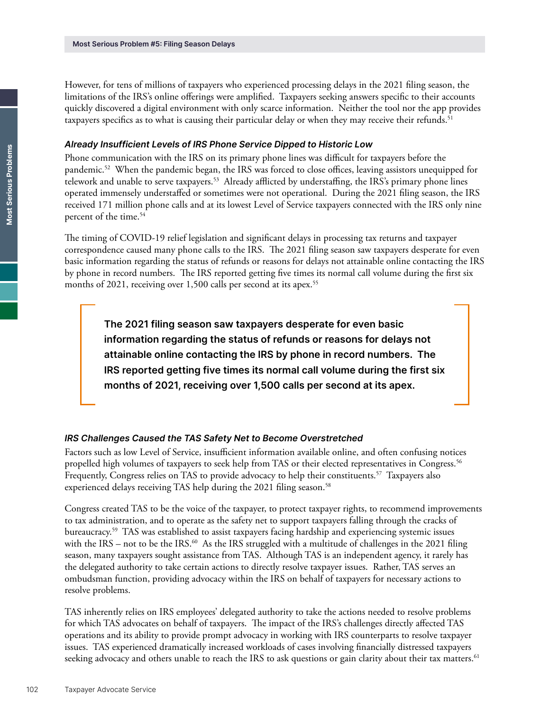However, for tens of millions of taxpayers who experienced processing delays in the 2021 filing season, the limitations of the IRS's online offerings were amplified. Taxpayers seeking answers specific to their accounts quickly discovered a digital environment with only scarce information. Neither the tool nor the app provides taxpayers specifics as to what is causing their particular delay or when they may receive their refunds.<sup>51</sup>

#### Already Insufficient Levels of IRS Phone Service Dipped to Historic Low

Phone communication with the IRS on its primary phone lines was difficult for taxpayers before the pandemic.52 When the pandemic began, the IRS was forced to close offices, leaving assistors unequipped for telework and unable to serve taxpayers.53 Already afflicted by understaffing, the IRS's primary phone lines operated immensely understaffed or sometimes were not operational. During the 2021 filing season, the IRS received 171 million phone calls and at its lowest Level of Service taxpayers connected with the IRS only nine percent of the time.54

The timing of COVID-19 relief legislation and significant delays in processing tax returns and taxpayer correspondence caused many phone calls to the IRS. The 2021 filing season saw taxpayers desperate for even basic information regarding the status of refunds or reasons for delays not attainable online contacting the IRS by phone in record numbers. The IRS reported getting five times its normal call volume during the first six months of 2021, receiving over 1,500 calls per second at its apex.<sup>55</sup>

The 2021 filing season saw taxpayers desperate for even basic information regarding the status of refunds or reasons for delays not attainable online contacting the IRS by phone in record numbers. The IRS reported getting five times its normal call volume during the first six months of 2021, receiving over 1,500 calls per second at its apex.

#### IRS Challenges Caused the TAS Safety Net to Become Overstretched

Factors such as low Level of Service, insufficient information available online, and often confusing notices propelled high volumes of taxpayers to seek help from TAS or their elected representatives in Congress.<sup>56</sup> Frequently, Congress relies on TAS to provide advocacy to help their constituents.57 Taxpayers also experienced delays receiving TAS help during the 2021 filing season.<sup>58</sup>

Congress created TAS to be the voice of the taxpayer, to protect taxpayer rights, to recommend improvements to tax administration, and to operate as the safety net to support taxpayers falling through the cracks of bureaucracy.59 TAS was established to assist taxpayers facing hardship and experiencing systemic issues with the IRS – not to be the IRS.<sup>60</sup> As the IRS struggled with a multitude of challenges in the 2021 filing season, many taxpayers sought assistance from TAS. Although TAS is an independent agency, it rarely has the delegated authority to take certain actions to directly resolve taxpayer issues. Rather, TAS serves an ombudsman function, providing advocacy within the IRS on behalf of taxpayers for necessary actions to resolve problems.

TAS inherently relies on IRS employees' delegated authority to take the actions needed to resolve problems for which TAS advocates on behalf of taxpayers. The impact of the IRS's challenges directly affected TAS operations and its ability to provide prompt advocacy in working with IRS counterparts to resolve taxpayer issues. TAS experienced dramatically increased workloads of cases involving financially distressed taxpayers seeking advocacy and others unable to reach the IRS to ask questions or gain clarity about their tax matters.<sup>61</sup>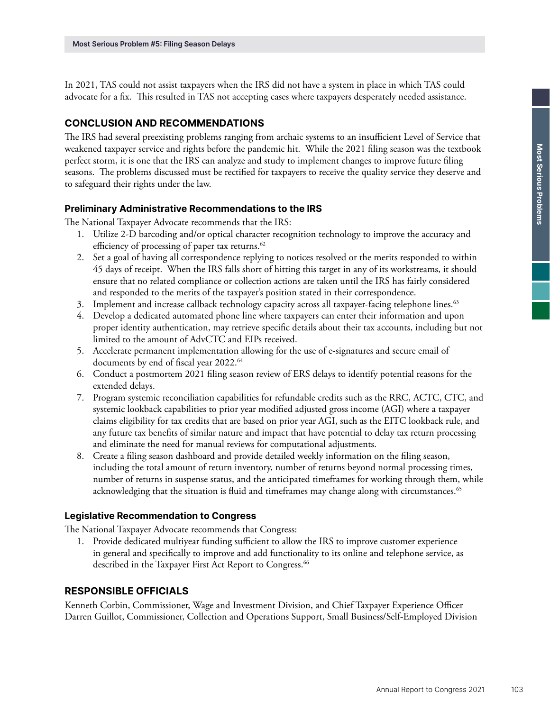In 2021, TAS could not assist taxpayers when the IRS did not have a system in place in which TAS could advocate for a fix. This resulted in TAS not accepting cases where taxpayers desperately needed assistance.

# CONCLUSION AND RECOMMENDATIONS

The IRS had several preexisting problems ranging from archaic systems to an insufficient Level of Service that weakened taxpayer service and rights before the pandemic hit. While the 2021 filing season was the textbook perfect storm, it is one that the IRS can analyze and study to implement changes to improve future filing seasons. The problems discussed must be rectified for taxpayers to receive the quality service they deserve and to safeguard their rights under the law.

### Preliminary Administrative Recommendations to the IRS

The National Taxpayer Advocate recommends that the IRS:

- 1. Utilize 2-D barcoding and/or optical character recognition technology to improve the accuracy and efficiency of processing of paper tax returns.<sup>62</sup>
- 2. Set a goal of having all correspondence replying to notices resolved or the merits responded to within 45 days of receipt. When the IRS falls short of hitting this target in any of its workstreams, it should ensure that no related compliance or collection actions are taken until the IRS has fairly considered and responded to the merits of the taxpayer's position stated in their correspondence.
- 3. Implement and increase callback technology capacity across all taxpayer-facing telephone lines.<sup>63</sup>
- 4. Develop a dedicated automated phone line where taxpayers can enter their information and upon proper identity authentication, may retrieve specific details about their tax accounts, including but not limited to the amount of AdvCTC and EIPs received.
- 5. Accelerate permanent implementation allowing for the use of e-signatures and secure email of documents by end of fiscal year 2022.<sup>64</sup>
- 6. Conduct a postmortem 2021 filing season review of ERS delays to identify potential reasons for the extended delays.
- 7. Program systemic reconciliation capabilities for refundable credits such as the RRC, ACTC, CTC, and systemic lookback capabilities to prior year modified adjusted gross income (AGI) where a taxpayer claims eligibility for tax credits that are based on prior year AGI, such as the EITC lookback rule, and any future tax benefits of similar nature and impact that have potential to delay tax return processing and eliminate the need for manual reviews for computational adjustments.
- 8. Create a filing season dashboard and provide detailed weekly information on the filing season, including the total amount of return inventory, number of returns beyond normal processing times, number of returns in suspense status, and the anticipated timeframes for working through them, while acknowledging that the situation is fluid and timeframes may change along with circumstances.<sup>65</sup>

### Legislative Recommendation to Congress

The National Taxpayer Advocate recommends that Congress:

1. Provide dedicated multiyear funding sufficient to allow the IRS to improve customer experience in general and specifically to improve and add functionality to its online and telephone service, as described in the Taxpayer First Act Report to Congress.<sup>66</sup>

### RESPONSIBLE OFFICIALS

Kenneth Corbin, Commissioner, Wage and Investment Division, and Chief Taxpayer Experience Officer Darren Guillot, Commissioner, Collection and Operations Support, Small Business/Self-Employed Division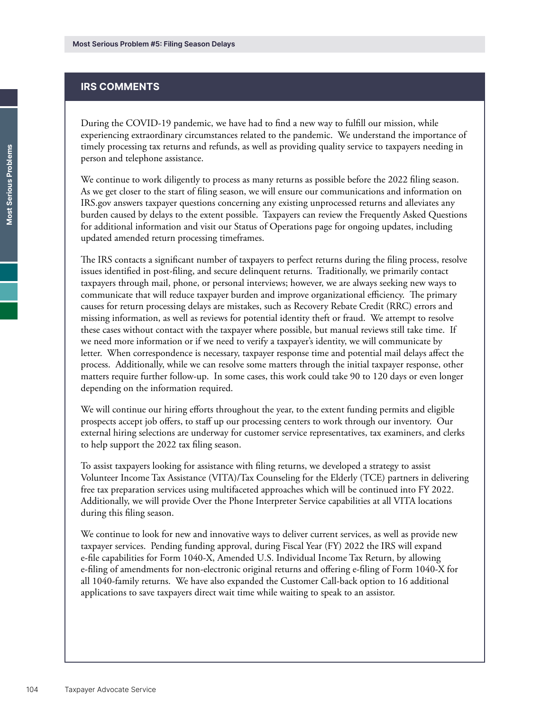## IRS COMMENTS

During the COVID-19 pandemic, we have had to find a new way to fulfill our mission, while experiencing extraordinary circumstances related to the pandemic. We understand the importance of timely processing tax returns and refunds, as well as providing quality service to taxpayers needing in person and telephone assistance.

We continue to work diligently to process as many returns as possible before the 2022 filing season. As we get closer to the start of filing season, we will ensure our communications and information on IRS.gov answers taxpayer questions concerning any existing unprocessed returns and alleviates any burden caused by delays to the extent possible. Taxpayers can review the Frequently Asked Questions for additional information and visit our Status of Operations page for ongoing updates, including updated amended return processing timeframes.

The IRS contacts a significant number of taxpayers to perfect returns during the filing process, resolve issues identified in post-filing, and secure delinquent returns. Traditionally, we primarily contact taxpayers through mail, phone, or personal interviews; however, we are always seeking new ways to communicate that will reduce taxpayer burden and improve organizational efficiency. The primary causes for return processing delays are mistakes, such as Recovery Rebate Credit (RRC) errors and missing information, as well as reviews for potential identity theft or fraud. We attempt to resolve these cases without contact with the taxpayer where possible, but manual reviews still take time. If we need more information or if we need to verify a taxpayer's identity, we will communicate by letter. When correspondence is necessary, taxpayer response time and potential mail delays affect the process. Additionally, while we can resolve some matters through the initial taxpayer response, other matters require further follow-up. In some cases, this work could take 90 to 120 days or even longer depending on the information required.

We will continue our hiring efforts throughout the year, to the extent funding permits and eligible prospects accept job offers, to staff up our processing centers to work through our inventory. Our external hiring selections are underway for customer service representatives, tax examiners, and clerks to help support the 2022 tax filing season.

To assist taxpayers looking for assistance with filing returns, we developed a strategy to assist Volunteer Income Tax Assistance (VITA)/Tax Counseling for the Elderly (TCE) partners in delivering free tax preparation services using multifaceted approaches which will be continued into FY 2022. Additionally, we will provide Over the Phone Interpreter Service capabilities at all VITA locations during this filing season.

We continue to look for new and innovative ways to deliver current services, as well as provide new taxpayer services. Pending funding approval, during Fiscal Year (FY) 2022 the IRS will expand e-file capabilities for Form 1040-X, Amended U.S. Individual Income Tax Return, by allowing e-filing of amendments for non-electronic original returns and offering e-filing of Form 1040-X for all 1040-family returns. We have also expanded the Customer Call-back option to 16 additional applications to save taxpayers direct wait time while waiting to speak to an assistor.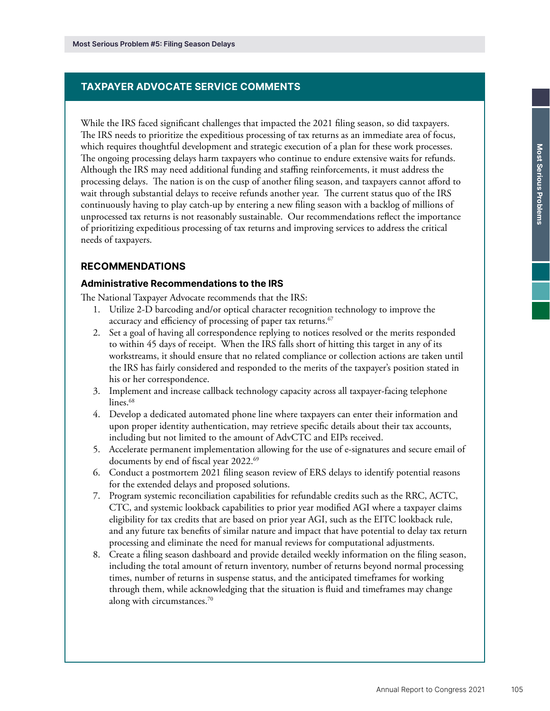## TAXPAYER ADVOCATE SERVICE COMMENTS

While the IRS faced significant challenges that impacted the 2021 filing season, so did taxpayers. The IRS needs to prioritize the expeditious processing of tax returns as an immediate area of focus, which requires thoughtful development and strategic execution of a plan for these work processes. The ongoing processing delays harm taxpayers who continue to endure extensive waits for refunds. Although the IRS may need additional funding and staffing reinforcements, it must address the processing delays. The nation is on the cusp of another filing season, and taxpayers cannot afford to wait through substantial delays to receive refunds another year. The current status quo of the IRS continuously having to play catch-up by entering a new filing season with a backlog of millions of unprocessed tax returns is not reasonably sustainable. Our recommendations reflect the importance of prioritizing expeditious processing of tax returns and improving services to address the critical needs of taxpayers.

### RECOMMENDATIONS

#### Administrative Recommendations to the IRS

The National Taxpayer Advocate recommends that the IRS:

- 1. Utilize 2-D barcoding and/or optical character recognition technology to improve the accuracy and efficiency of processing of paper tax returns.<sup>67</sup>
- 2. Set a goal of having all correspondence replying to notices resolved or the merits responded to within 45 days of receipt. When the IRS falls short of hitting this target in any of its workstreams, it should ensure that no related compliance or collection actions are taken until the IRS has fairly considered and responded to the merits of the taxpayer's position stated in his or her correspondence.
- 3. Implement and increase callback technology capacity across all taxpayer-facing telephone lines.<sup>68</sup>
- 4. Develop a dedicated automated phone line where taxpayers can enter their information and upon proper identity authentication, may retrieve specific details about their tax accounts, including but not limited to the amount of AdvCTC and EIPs received.
- 5. Accelerate permanent implementation allowing for the use of e-signatures and secure email of documents by end of fiscal year 2022.<sup>69</sup>
- 6. Conduct a postmortem 2021 filing season review of ERS delays to identify potential reasons for the extended delays and proposed solutions.
- 7. Program systemic reconciliation capabilities for refundable credits such as the RRC, ACTC, CTC, and systemic lookback capabilities to prior year modified AGI where a taxpayer claims eligibility for tax credits that are based on prior year AGI, such as the EITC lookback rule, and any future tax benefits of similar nature and impact that have potential to delay tax return processing and eliminate the need for manual reviews for computational adjustments.
- 8. Create a filing season dashboard and provide detailed weekly information on the filing season, including the total amount of return inventory, number of returns beyond normal processing times, number of returns in suspense status, and the anticipated timeframes for working through them, while acknowledging that the situation is fluid and timeframes may change along with circumstances.70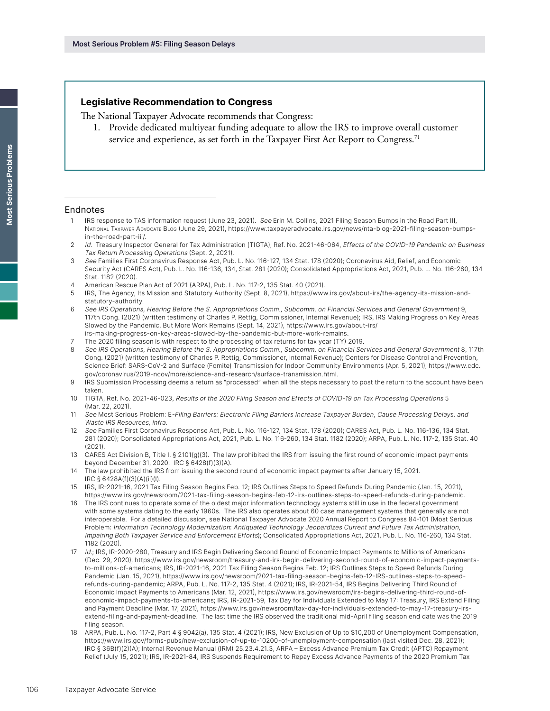# Legislative Recommendation to Congress

The National Taxpayer Advocate recommends that Congress:

1. Provide dedicated multiyear funding adequate to allow the IRS to improve overall customer service and experience, as set forth in the Taxpayer First Act Report to Congress.<sup>71</sup>

#### Endnotes

- 1 IRS response to TAS information request (June 23, 2021). See Erin M. Collins, 2021 Filing Season Bumps in the Road Part III, NATIONAL TAXPAYER ADVOCATE BLOG (June 29, 2021), [https://www.taxpayeradvocate.irs.gov/news/nta-blog-2021-filing-season-bumps](https://www.taxpayeradvocate.irs.gov/news/nta-blog-2021-filing-season-bumps-in-the-road-part-iii/)[in-the-road-part-iii/](https://www.taxpayeradvocate.irs.gov/news/nta-blog-2021-filing-season-bumps-in-the-road-part-iii/).
- 2 Id. Treasury Inspector General for Tax Administration (TIGTA), Ref. No. 2021-46-064, Effects of the COVID-19 Pandemic on Business Tax Return Processing Operations (Sept. 2, 2021).
- 3 See Families First Coronavirus Response Act, Pub. L. No. 116-127, 134 Stat. 178 (2020); Coronavirus Aid, Relief, and Economic Security Act (CARES Act), Pub. L. No. 116-136, 134, Stat. 281 (2020); Consolidated Appropriations Act, 2021, Pub. L. No. 116-260, 134 Stat. 1182 (2020).
- 4 American Rescue Plan Act of 2021 (ARPA), Pub. L. No. 117-2, 135 Stat. 40 (2021).
- 5 IRS, The Agency, Its Mission and Statutory Authority (Sept. 8, 2021), [https://www.irs.gov/about-irs/the-agency-its-mission-and](https://www.irs.gov/about-irs/the-agency-its-mission-and-statutory-authority)[statutory-authority](https://www.irs.gov/about-irs/the-agency-its-mission-and-statutory-authority).
- 6 See IRS Operations, Hearing Before the S. Appropriations Comm., Subcomm. on Financial Services and General Government 9, 117th Cong. (2021) (written testimony of Charles P. Rettig, Commissioner, Internal Revenue); IRS, IRS Making Progress on Key Areas Slowed by the Pandemic, But More Work Remains (Sept. 14, 2021), [https://www.irs.gov/about-irs/](https://www.irs.gov/about-irs/irs-making-progress-on-key-areas-slowed-by-the-pandemic-but-more-work-remains) [irs-making-progress-on-key-areas-slowed-by-the-pandemic-but-more-work-remains.](https://www.irs.gov/about-irs/irs-making-progress-on-key-areas-slowed-by-the-pandemic-but-more-work-remains)
- The 2020 filing season is with respect to the processing of tax returns for tax year (TY) 2019.
- 8 See IRS Operations, Hearing Before the S. Appropriations Comm., Subcomm. on Financial Services and General Government 8, 117th Cong. (2021) (written testimony of Charles P. Rettig, Commissioner, Internal Revenue); Centers for Disease Control and Prevention, Science Brief: SARS-CoV-2 and Surface (Fomite) Transmission for Indoor Community Environments (Apr. 5, 2021), [https://www.cdc.](https://www.cdc.gov/coronavirus/2019-ncov/more/science-and-research/surface-transmission.html) [gov/coronavirus/2019-ncov/more/science-and-research/surface-transmission.html.](https://www.cdc.gov/coronavirus/2019-ncov/more/science-and-research/surface-transmission.html)
- 9 IRS Submission Processing deems a return as "processed" when all the steps necessary to post the return to the account have been taken.
- 10 TIGTA, Ref. No. 2021-46-023, Results of the 2020 Filing Season and Effects of COVID-19 on Tax Processing Operations 5 (Mar. 22, 2021).
- 11 See Most Serious Problem: E-Filing Barriers: Electronic Filing Barriers Increase Taxpayer Burden, Cause Processing Delays, and Waste IRS Resources, infra.
- 12 See Families First Coronavirus Response Act, Pub. L. No. 116-127, 134 Stat. 178 (2020); CARES Act, Pub. L. No. 116-136, 134 Stat. 281 (2020); Consolidated Appropriations Act, 2021, Pub. L. No. 116-260, 134 Stat. 1182 (2020); ARPA, Pub. L. No. 117-2, 135 Stat. 40 (2021).
- 13 CARES Act Division B, Title I, § 2101(g)(3). The law prohibited the IRS from issuing the first round of economic impact payments beyond December 31, 2020. IRC § 6428(f)(3)(A).
- 14 The law prohibited the IRS from issuing the second round of economic impact payments after January 15, 2021. IRC § 6428A(f)(3)(A)(ii)(I).
- 15 IRS, IR-2021-16, 2021 Tax Filing Season Begins Feb. 12; IRS Outlines Steps to Speed Refunds During Pandemic (Jan. 15, 2021), <https://www.irs.gov/newsroom/2021-tax-filing-season-begins-feb-12-irs-outlines-steps-to-speed-refunds-during-pandemic>.
- 16 The IRS continues to operate some of the oldest major information technology systems still in use in the federal government with some systems dating to the early 1960s. The IRS also operates about 60 case management systems that generally are not interoperable. For a detailed discussion, see National Taxpayer Advocate 2020 Annual Report to Congress 84-101 (Most Serious Problem: Information Technology Modernization: Antiquated Technology Jeopardizes Current and Future Tax Administration, Impairing Both Taxpayer Service and Enforcement Efforts); Consolidated Appropriations Act, 2021, Pub. L. No. 116-260, 134 Stat. 1182 (2020).
- 17 Id.; IRS, IR-2020-280, Treasury and IRS Begin Delivering Second Round of Economic Impact Payments to Millions of Americans (Dec. 29, 2020), [https://www.irs.gov/newsroom/treasury-and-irs-begin-delivering-second-round-of-economic-impact-payments](https://www.irs.gov/newsroom/treasury-and-irs-begin-delivering-second-round-of-economic-impact-payments-to-millions-of-americans)[to-millions-of-americans](https://www.irs.gov/newsroom/treasury-and-irs-begin-delivering-second-round-of-economic-impact-payments-to-millions-of-americans); IRS, IR-2021-16, 2021 Tax Filing Season Begins Feb. 12; IRS Outlines Steps to Speed Refunds During Pandemic (Jan. 15, 2021), [https://www.irs.gov/newsroom/2021-tax-filing-season-begins-feb-12-IRS-outlines-steps-to-speed](https://www.irs.gov/newsroom/2021-tax-filing-season-begins-feb-12-IRS-outlines-steps-to-speed-refunds-during-pandemic)[refunds-during-pandemic;](https://www.irs.gov/newsroom/2021-tax-filing-season-begins-feb-12-IRS-outlines-steps-to-speed-refunds-during-pandemic) ARPA, Pub. L. No. 117-2, 135 Stat. 4 (2021); IRS, IR-2021-54, IRS Begins Delivering Third Round of Economic Impact Payments to Americans (Mar. 12, 2021), [https://www.irs.gov/newsroom/irs-begins-delivering-third-round-of](https://www.irs.gov/newsroom/irs-begins-delivering-third-round-of-economic-impact-payments-to-americans)[economic-impact-payments-to-americans](https://www.irs.gov/newsroom/irs-begins-delivering-third-round-of-economic-impact-payments-to-americans); IRS, IR-2021-59, Tax Day for Individuals Extended to May 17: Treasury, IRS Extend Filing and Payment Deadline (Mar. 17, 2021), [https://www.irs.gov/newsroom/tax-day-for-individuals-extended-to-may-17-treasury-irs](https://www.irs.gov/newsroom/tax-day-for-individuals-extended-to-may-17-treasury-irs-extend-filing-and-payment-deadline)[extend-filing-and-payment-deadline](https://www.irs.gov/newsroom/tax-day-for-individuals-extended-to-may-17-treasury-irs-extend-filing-and-payment-deadline). The last time the IRS observed the traditional mid-April filing season end date was the 2019 filing season.
- 18 ARPA, Pub. L. No. 117-2, Part 4 § 9042(a), 135 Stat. 4 (2021); IRS, New Exclusion of Up to \$10,200 of Unemployment Compensation, <https://www.irs.gov/forms-pubs/new-exclusion-of-up-to-10200-of-unemployment-compensation> (last visited Dec. 28, 2021); IRC § 36B(f)(2)(A); Internal Revenue Manual (IRM) 25.23.4.21.3, ARPA – Excess Advance Premium Tax Credit (APTC) Repayment Relief (July 15, 2021); IRS, IR-2021-84, IRS Suspends Requirement to Repay Excess Advance Payments of the 2020 Premium Tax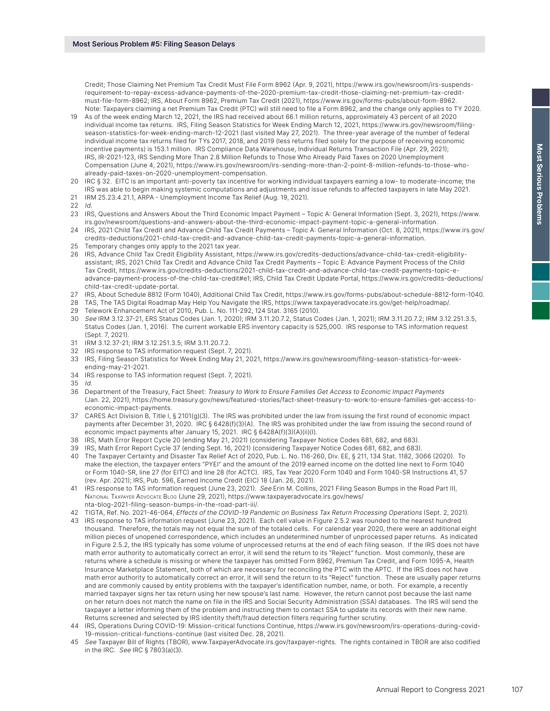Credit; Those Claiming Net Premium Tax Credit Must File Form 8962 (Apr. 9, 2021), [https://www.irs.gov/newsroom/irs-suspends](https://www.irs.gov/newsroom/irs-suspends-requirement-to-repay-excess-advance-payments-of-the-2020-premium-tax-credit-those-claiming-net-premium-tax-credit-must-file-form-8962)[requirement-to-repay-excess-advance-payments-of-the-2020-premium-tax-credit-those-claiming-net-premium-tax-credit](https://www.irs.gov/newsroom/irs-suspends-requirement-to-repay-excess-advance-payments-of-the-2020-premium-tax-credit-those-claiming-net-premium-tax-credit-must-file-form-8962)[must-file-form-8962](https://www.irs.gov/newsroom/irs-suspends-requirement-to-repay-excess-advance-payments-of-the-2020-premium-tax-credit-those-claiming-net-premium-tax-credit-must-file-form-8962); IRS, About Form 8962, Premium Tax Credit (2021), <https://www.irs.gov/forms-pubs/about-form-8962>. Note: Taxpayers claiming a net Premium Tax Credit (PTC) will still need to file a Form 8962, and the change only applies to TY 2020.

- 19 As of the week ending March 12, 2021, the IRS had received about 66.1 million returns, approximately 43 percent of all 2020 individual income tax returns. IRS, Filing Season Statistics for Week Ending March 12, 2021, [https://www.irs.gov/newsroom/filing](https://www.irs.gov/newsroom/filing-season-statistics-for-week-ending-march-12-2021)[season-statistics-for-week-ending-march-12-2021](https://www.irs.gov/newsroom/filing-season-statistics-for-week-ending-march-12-2021) (last visited May 27, 2021). The three-year average of the number of federal individual income tax returns filed for TYs 2017, 2018, and 2019 (less returns filed solely for the purpose of receiving economic incentive payments) is 153.1 million. IRS Compliance Data Warehouse, Individual Returns Transaction File (Apr. 29, 2021); IRS, IR-2021-123, IRS Sending More Than 2.8 Million Refunds to Those Who Already Paid Taxes on 2020 Unemployment Compensation (June 4, 2021), [https://www.irs.gov/newsroom/irs-sending-more-than-2-point-8-million-refunds-to-those-who](https://www.irs.gov/newsroom/irs-sending-more-than-2-point-8-million-refunds-to-those-who-already-paid-taxes-on-2020-unemployment-compensation)[already-paid-taxes-on-2020-unemployment-compensation.](https://www.irs.gov/newsroom/irs-sending-more-than-2-point-8-million-refunds-to-those-who-already-paid-taxes-on-2020-unemployment-compensation)
- 20 IRC § 32. EITC is an important anti-poverty tax incentive for working individual taxpayers earning a low- to moderate-income; the IRS was able to begin making systemic computations and adjustments and issue refunds to affected taxpayers in late May 2021.
- 21 IRM 25.23.4.21.1, ARPA Unemployment Income Tax Relief (Aug. 19, 2021).
- 22 Id.
- 23 IRS, Questions and Answers About the Third Economic Impact Payment Topic A: General Information (Sept. 3, 2021), [https://www.](https://www.irs.gov/newsroom/questions-and-answers-about-the-third-economic-impact-payment-topic-a-general-information) [irs.gov/newsroom/questions-and-answers-about-the-third-economic-impact-payment-topic-a-general-information.](https://www.irs.gov/newsroom/questions-and-answers-about-the-third-economic-impact-payment-topic-a-general-information)
- 24 IRS, 2021 Child Tax Credit and Advance Child Tax Credit Payments Topic A: General Information (Oct. 8, 2021), [https://www.irs.gov/](https://www.irs.gov/credits-deductions/2021-child-tax-credit-and-advance-child-tax-credit-payments-topic-a-general-information) [credits-deductions/2021-child-tax-credit-and-advance-child-tax-credit-payments-topic-a-general-information](https://www.irs.gov/credits-deductions/2021-child-tax-credit-and-advance-child-tax-credit-payments-topic-a-general-information).
- 25 Temporary changes only apply to the 2021 tax year.
- 26 IRS, Advance Child Tax Credit Eligibility Assistant, [https://www.irs.gov/credits-deductions/advance-child-tax-credit-eligibility](https://www.irs.gov/credits-deductions/advance-child-tax-credit-eligibility-assistant)[assistant](https://www.irs.gov/credits-deductions/advance-child-tax-credit-eligibility-assistant); IRS, 2021 Child Tax Credit and Advance Child Tax Credit Payments – Topic E: Advance Payment Process of the Child Tax Credit, [https://www.irs.gov/credits-deductions/2021-child-tax-credit-and-advance-child-tax-credit-payments-topic-e](https://www.irs.gov/credits-deductions/2021-child-tax-credit-and-advance-child-tax-credit-payments-topic-e-advance-payment-process-of-the-child-tax-credit#e1)[advance-payment-process-of-the-child-tax-credit#e1](https://www.irs.gov/credits-deductions/2021-child-tax-credit-and-advance-child-tax-credit-payments-topic-e-advance-payment-process-of-the-child-tax-credit#e1); IRS, Child Tax Credit Update Portal, [https://www.irs.gov/credits-deductions/](https://www.irs.gov/credits-deductions/child-tax-credit-update-portal) [child-tax-credit-update-portal](https://www.irs.gov/credits-deductions/child-tax-credit-update-portal).
- 27 IRS, About Schedule 8812 (Form 1040), Additional Child Tax Credit, [https://www.irs.gov/forms-pubs/about-schedule-8812-form-1040.](https://www.irs.gov/forms-pubs/about-schedule-8812-form-1040)
- 28 TAS, The TAS Digital Roadmap May Help You Navigate the IRS, [https://www.taxpayeradvocate.irs.gov/get-help/roadmap/.](https://www.taxpayeradvocate.irs.gov/get-help/roadmap/)
- 29 Telework Enhancement Act of 2010, Pub. L. No. 111-292, 124 Stat. 3165 (2010).
- 30 See IRM 3.12.37-21, ERS Status Codes (Jan. 1, 2020); IRM 3.11.20.7.2, Status Codes (Jan. 1, 2021); IRM 3.11.20.7.2; IRM 3.12.251.3.5, Status Codes (Jan. 1, 2016). The current workable ERS inventory capacity is 525,000. IRS response to TAS information request (Sept. 7, 2021).
- 31 IRM 3.12.37-21; IRM 3.12.251.3.5; IRM 3.11.20.7.2.
- 32 IRS response to TAS information request (Sept. 7, 2021).
- 33 IRS, Filing Season Statistics for Week Ending May 21, 2021, [https://www.irs.gov/newsroom/filing-season-statistics-for-week](https://www.irs.gov/newsroom/filing-season-statistics-for-week-ending-may-21-2021)[ending-may-21-2021](https://www.irs.gov/newsroom/filing-season-statistics-for-week-ending-may-21-2021).
- 34 IRS response to TAS information request (Sept. 7, 2021).
- 35 Id.
- 36 Department of the Treasury, Fact Sheet: Treasury to Work to Ensure Families Get Access to Economic Impact Payments (Jan. 22, 2021), [https://home.treasury.gov/news/featured-stories/fact-sheet-treasury-to-work-to-ensure-families-get-access-to](https://home.treasury.gov/news/featured-stories/fact-sheet-treasury-to-work-to-ensure-families-get-access-to-economic-impact-payments)[economic-impact-payments.](https://home.treasury.gov/news/featured-stories/fact-sheet-treasury-to-work-to-ensure-families-get-access-to-economic-impact-payments)
- 37 CARES Act Division B, Title I, § 2101(g)(3). The IRS was prohibited under the law from issuing the first round of economic impact payments after December 31, 2020. IRC § 6428(f)(3)(A). The IRS was prohibited under the law from issuing the second round of economic impact payments after January 15, 2021. IRC § 6428A(f)(3)(A)(ii)(I).
- 38 IRS, Math Error Report Cycle 20 (ending May 21, 2021) (considering Taxpayer Notice Codes 681, 682, and 683).
- 39 IRS, Math Error Report Cycle 37 (ending Sept. 16, 2021) (considering Taxpayer Notice Codes 681, 682, and 683).
- 40 The Taxpayer Certainty and Disaster Tax Relief Act of 2020, Pub. L. No. 116-260, Div. EE, § 211, 134 Stat. 1182, 3066 (2020). To make the election, the taxpayer enters "PYEI" and the amount of the 2019 earned income on the dotted line next to Form 1040 or Form 1040-SR, line 27 (for EITC) and line 28 (for ACTC). IRS, Tax Year 2020 Form 1040 and Form 1040-SR Instructions 41, 57 (rev. Apr. 2021); IRS, Pub. 596, Earned Income Credit (EIC) 18 (Jan. 26, 2021).
- IRS response to TAS information request (June 23, 2021). See Erin M. Collins, 2021 Filing Season Bumps in the Road Part III, NATIONAL TAXPAYER ADVOCATE BLOG (June 29, 2021), [https://www.taxpayeradvocate.irs.gov/news/](https://www.taxpayeradvocate.irs.gov/news/nta-blog-2021-filing-season-bumps-in-the-road-part-iii/)
- [nta-blog-2021-filing-season-bumps-in-the-road-part-iii/](https://www.taxpayeradvocate.irs.gov/news/nta-blog-2021-filing-season-bumps-in-the-road-part-iii/).
- 42 TIGTA, Ref. No. 2021-46-064, Effects of the COVID-19 Pandemic on Business Tax Return Processing Operations (Sept. 2, 2021).
- 43 IRS response to TAS information request (June 23, 2021). Each cell value in Figure 2.5.2 was rounded to the nearest hundred thousand. Therefore, the totals may not equal the sum of the totaled cells. For calendar year 2020, there were an additional eight million pieces of unopened correspondence, which includes an undetermined number of unprocessed paper returns. As indicated in Figure 2.5.2, the IRS typically has some volume of unprocessed returns at the end of each filing season. If the IRS does not have math error authority to automatically correct an error, it will send the return to its "Reject" function. Most commonly, these are returns where a schedule is missing or where the taxpayer has omitted Form 8962, Premium Tax Credit, and Form 1095-A, Health Insurance Marketplace Statement, both of which are necessary for reconciling the PTC with the APTC. If the IRS does not have math error authority to automatically correct an error, it will send the return to its "Reject" function. These are usually paper returns and are commonly caused by entity problems with the taxpayer's identification number, name, or both. For example, a recently married taxpayer signs her tax return using her new spouse's last name. However, the return cannot post because the last name on her return does not match the name on file in the IRS and Social Security Administration (SSA) databases. The IRS will send the taxpayer a letter informing them of the problem and instructing them to contact SSA to update its records with their new name. Returns screened and selected by IRS identity theft/fraud detection filters requiring further scrutiny.
- 44 IRS, Operations During COVID-19: Mission-critical functions Continue, [https://www.irs.gov/newsroom/irs-operations-during-covid-](https://www.irs.gov/newsroom/irs-operations-during-covid-19-mission-critical-functions-continue)[19-mission-critical-functions-continue](https://www.irs.gov/newsroom/irs-operations-during-covid-19-mission-critical-functions-continue) (last visited Dec. 28, 2021).
- 45 See Taxpayer Bill of Rights (TBOR), [www.TaxpayerAdvocate.irs.gov/taxpayer-rights.](https://www.taxpayeradvocate.irs.gov/get-help/taxpayer-rights/) The rights contained in TBOR are also codified in the IRC. See IRC § 7803(a)(3).